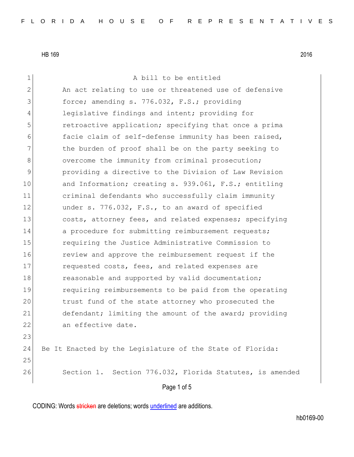| $\mathbf 1$    | A bill to be entitled                                     |
|----------------|-----------------------------------------------------------|
| $\mathbf{2}$   | An act relating to use or threatened use of defensive     |
| 3              | force; amending s. 776.032, F.S.; providing               |
| 4              | legislative findings and intent; providing for            |
| 5              | retroactive application; specifying that once a prima     |
| 6              | facie claim of self-defense immunity has been raised,     |
| $\overline{7}$ | the burden of proof shall be on the party seeking to      |
| 8              | overcome the immunity from criminal prosecution;          |
| $\mathcal{G}$  | providing a directive to the Division of Law Revision     |
| 10             | and Information; creating s. 939.061, F.S.; entitling     |
| 11             | criminal defendants who successfully claim immunity       |
| 12             | under s. 776.032, F.S., to an award of specified          |
| 13             | costs, attorney fees, and related expenses; specifying    |
| 14             | a procedure for submitting reimbursement requests;        |
| 15             | requiring the Justice Administrative Commission to        |
| 16             | review and approve the reimbursement request if the       |
| 17             | requested costs, fees, and related expenses are           |
| 18             | reasonable and supported by valid documentation;          |
| 19             | requiring reimbursements to be paid from the operating    |
| 20             | trust fund of the state attorney who prosecuted the       |
| 21             | defendant; limiting the amount of the award; providing    |
| 22             | an effective date.                                        |
| 23             |                                                           |
| 24             | Be It Enacted by the Legislature of the State of Florida: |
| 25             |                                                           |
| 26             | Section 1. Section 776.032, Florida Statutes, is amended  |
|                | Page 1 of 5                                               |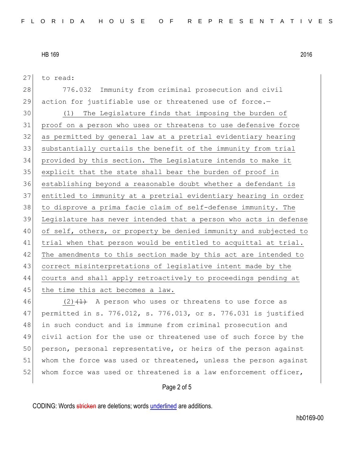to read:

 776.032 Immunity from criminal prosecution and civil 29 action for justifiable use or threatened use of force.-

 (1) The Legislature finds that imposing the burden of proof on a person who uses or threatens to use defensive force as permitted by general law at a pretrial evidentiary hearing substantially curtails the benefit of the immunity from trial provided by this section. The Legislature intends to make it explicit that the state shall bear the burden of proof in establishing beyond a reasonable doubt whether a defendant is entitled to immunity at a pretrial evidentiary hearing in order to disprove a prima facie claim of self-defense immunity. The Legislature has never intended that a person who acts in defense of self, others, or property be denied immunity and subjected to 41 trial when that person would be entitled to acquittal at trial. 42 The amendments to this section made by this act are intended to correct misinterpretations of legislative intent made by the courts and shall apply retroactively to proceedings pending at 45 the time this act becomes a law.

 $(2)$   $(1)$  A person who uses or threatens to use force as permitted in s. 776.012, s. 776.013, or s. 776.031 is justified in such conduct and is immune from criminal prosecution and civil action for the use or threatened use of such force by the 50 person, personal representative, or heirs of the person against 51 whom the force was used or threatened, unless the person against 52 whom force was used or threatened is a law enforcement officer,

#### Page 2 of 5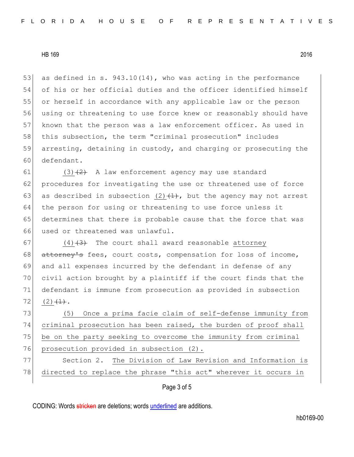53 as defined in s.  $943.10(14)$ , who was acting in the performance 54 of his or her official duties and the officer identified himself 55 or herself in accordance with any applicable law or the person 56 using or threatening to use force knew or reasonably should have 57 known that the person was a law enforcement officer. As used in 58 this subsection, the term "criminal prosecution" includes 59 arresting, detaining in custody, and charging or prosecuting the 60 defendant.

61 (3) $\left( \frac{2}{2} \right)$  A law enforcement agency may use standard 62 procedures for investigating the use or threatened use of force 63 as described in subsection (2) $(1)$ , but the agency may not arrest 64 the person for using or threatening to use force unless it 65 determines that there is probable cause that the force that was 66 used or threatened was unlawful.

67 (4) $\left(4\right)$  The court shall award reasonable attorney 68 attorney's fees, court costs, compensation for loss of income, and all expenses incurred by the defendant in defense of any civil action brought by a plaintiff if the court finds that the defendant is immune from prosecution as provided in subsection (2)  $\left(\frac{1}{1}\right)$ .

 (5) Once a prima facie claim of self-defense immunity from criminal prosecution has been raised, the burden of proof shall be on the party seeking to overcome the immunity from criminal 76 prosecution provided in subsection (2).

77 Section 2. The Division of Law Revision and Information is 78 directed to replace the phrase "this act" wherever it occurs in

### Page 3 of 5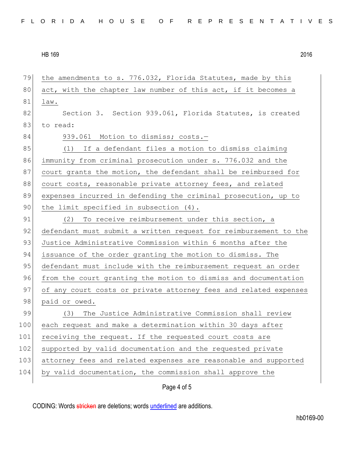Page 4 of 5 79 the amendments to s. 776.032, Florida Statutes, made by this 80 act, with the chapter law number of this act, if it becomes a 81 law. 82 Section 3. Section 939.061, Florida Statutes, is created 83 to read: 84 939.061 Motion to dismiss; costs.-85 (1) If a defendant files a motion to dismiss claiming 86 immunity from criminal prosecution under s. 776.032 and the 87 court grants the motion, the defendant shall be reimbursed for 88 court costs, reasonable private attorney fees, and related 89 expenses incurred in defending the criminal prosecution, up to 90 the limit specified in subsection (4). 91 (2) To receive reimbursement under this section, a 92 defendant must submit a written request for reimbursement to the 93 Justice Administrative Commission within 6 months after the 94 issuance of the order granting the motion to dismiss. The 95 defendant must include with the reimbursement request an order 96 from the court granting the motion to dismiss and documentation 97 of any court costs or private attorney fees and related expenses 98 paid or owed. 99 (3) The Justice Administrative Commission shall review 100 each request and make a determination within 30 days after 101 receiving the request. If the requested court costs are 102 supported by valid documentation and the requested private 103 attorney fees and related expenses are reasonable and supported 104 by valid documentation, the commission shall approve the